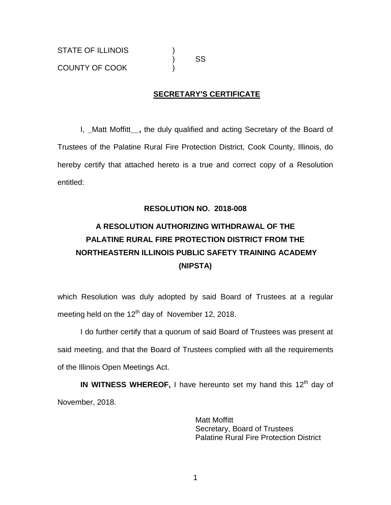## **SECRETARY'S CERTIFICATE**

I, **\_**Matt Moffitt**\_\_,** the duly qualified and acting Secretary of the Board of Trustees of the Palatine Rural Fire Protection District, Cook County, Illinois, do hereby certify that attached hereto is a true and correct copy of a Resolution entitled:

### **RESOLUTION NO. 2018-008**

# **A RESOLUTION AUTHORIZING WITHDRAWAL OF THE PALATINE RURAL FIRE PROTECTION DISTRICT FROM THE NORTHEASTERN ILLINOIS PUBLIC SAFETY TRAINING ACADEMY (NIPSTA)**

which Resolution was duly adopted by said Board of Trustees at a regular meeting held on the  $12<sup>th</sup>$  day of November 12, 2018.

I do further certify that a quorum of said Board of Trustees was present at said meeting, and that the Board of Trustees complied with all the requirements of the Illinois Open Meetings Act.

IN WITNESS WHEREOF, I have hereunto set my hand this 12<sup>th</sup> day of November, 2018.

> Matt Moffitt Secretary, Board of Trustees Palatine Rural Fire Protection District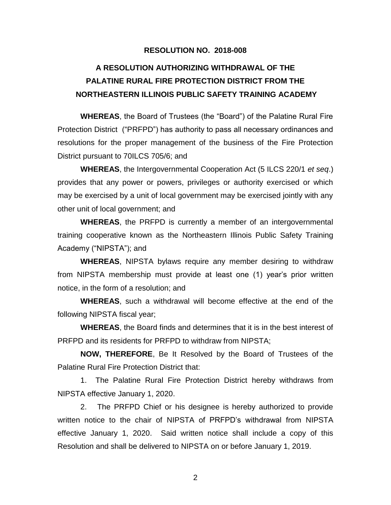#### **RESOLUTION NO. 2018-008**

## **A RESOLUTION AUTHORIZING WITHDRAWAL OF THE PALATINE RURAL FIRE PROTECTION DISTRICT FROM THE NORTHEASTERN ILLINOIS PUBLIC SAFETY TRAINING ACADEMY**

**WHEREAS**, the Board of Trustees (the "Board") of the Palatine Rural Fire Protection District ("PRFPD") has authority to pass all necessary ordinances and resolutions for the proper management of the business of the Fire Protection District pursuant to 70ILCS 705/6; and

**WHEREAS**, the Intergovernmental Cooperation Act (5 ILCS 220/1 *et seq*.) provides that any power or powers, privileges or authority exercised or which may be exercised by a unit of local government may be exercised jointly with any other unit of local government; and

**WHEREAS**, the PRFPD is currently a member of an intergovernmental training cooperative known as the Northeastern Illinois Public Safety Training Academy ("NIPSTA"); and

**WHEREAS**, NIPSTA bylaws require any member desiring to withdraw from NIPSTA membership must provide at least one (1) year's prior written notice, in the form of a resolution; and

**WHEREAS**, such a withdrawal will become effective at the end of the following NIPSTA fiscal year;

**WHEREAS**, the Board finds and determines that it is in the best interest of PRFPD and its residents for PRFPD to withdraw from NIPSTA;

**NOW, THEREFORE**, Be It Resolved by the Board of Trustees of the Palatine Rural Fire Protection District that:

1. The Palatine Rural Fire Protection District hereby withdraws from NIPSTA effective January 1, 2020.

2. The PRFPD Chief or his designee is hereby authorized to provide written notice to the chair of NIPSTA of PRFPD's withdrawal from NIPSTA effective January 1, 2020. Said written notice shall include a copy of this Resolution and shall be delivered to NIPSTA on or before January 1, 2019.

2